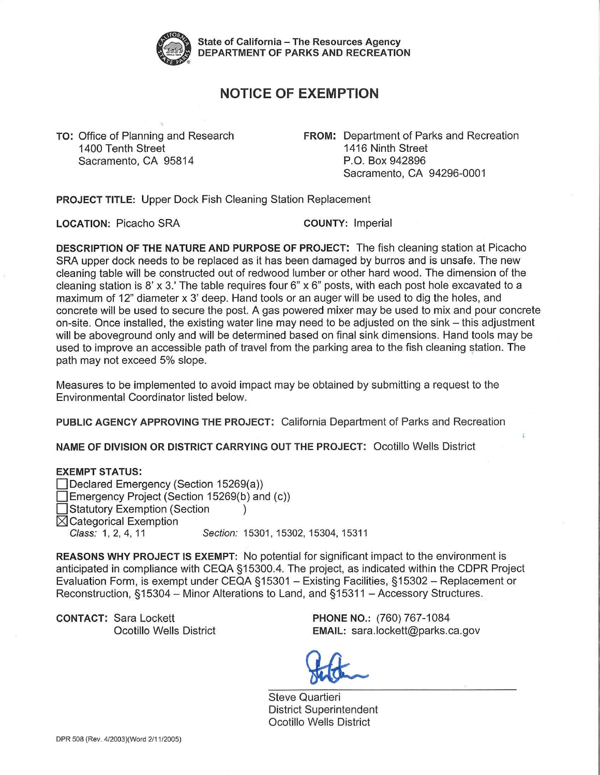

**State of California** - **The Resources Agency DEPARTMENT OF PARKS AND RECREATION** 

## **NOTICE OF EXEMPTION**

1400 Tenth Street 1416 Ninth Street Sacramento, CA 95814 P.O. Box 942896

**TO:** Office of Planning and Research **FROM:** Department of Parks and Recreation Sacramento, CA 94296-0001

**PROJECT TITLE:** Upper Dock Fish Cleaning Station Replacement

**LOCATION:** Picacho SRA **COUNTY:** Imperial

**DESCRIPTION OF THE NATURE AND PURPOSE OF PROJECT:** The fish cleaning station at Picacho SRA upper dock needs to be replaced as it has been damaged by burros and is unsafe. The new cleaning table will be constructed out of redwood lumber or other hard wood. The dimension of the cleaning station is 8' x 3.' The table requires four 6" x 6" posts, with each post hole excavated to a maximum of 12" diameter x 3' deep. Hand tools or an auger will be used to dig the holes, and concrete will be used to secure the post. A gas powered mixer may be used to mix and pour concrete on-site. Once installed, the existing water line may need to be adjusted on the sink – this adjustment will be aboveground only and will be determined based on final sink dimensions. Hand tools may be used to improve an accessible path of travel from the parking area to the fish cleaning station. The path may not exceed 5% slope.

Measures to be implemented to avoid impact may be obtained by submitting a request to the Environmental Coordinator listed below.

**PUBLIC AGENCY APPROVING THE PROJECT:** California Department of Parks and Recreation

**NAME OF DIVISION OR DISTRICT CARRYING OUT THE PROJECT:** Ocotillo Wells District

## **EXEMPT STATUS:**

□ Declared Emergency (Section 15269(a)) Emergency Project (Section 15269(b) and (c)) Statutory Exemption (Section )  $\boxtimes$  Categorical Exemption Class: 1, 2, 4, 11 Section: 15301, 15302, 15304, 15311

**REASONS WHY PROJECT IS EXEMPT:** No potential for significant impact to the environment is anticipated in compliance with CEQA § 15300.4. The project, as indicated within the CDPR Project Evaluation Form, is exempt under CEQA §15301 - Existing Facilities, §15302 - Replacement or Reconstruction, §15304 - Minor Alterations to Land, and §15311 - Accessory Structures.

**CONTACT:** Sara Lockett **PHONE NO.:** (760) 767-1084

Ocotillo Wells District **EMAIL:** [sara.lockett@parks.ca.gov](mailto:sara.lockett@parks.ca.gov)

Steve Quartieri District Superintendent Ocotillo Wells District